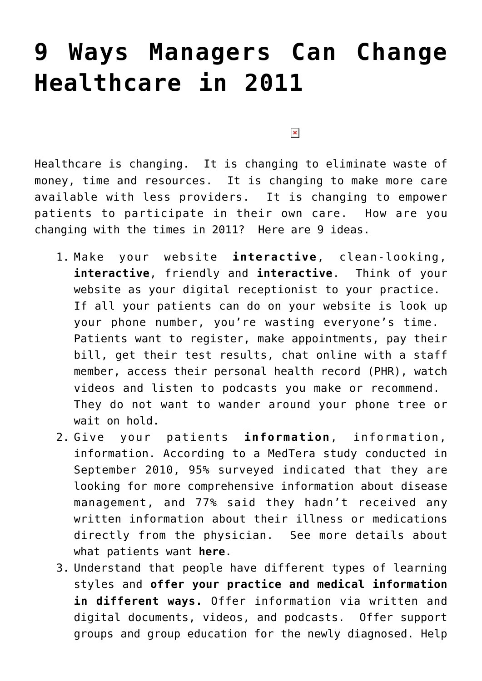## **[9 Ways Managers Can Change](https://managemypractice.com/9-ways-managers-can-change-healthcare-in-2011/) [Healthcare in 2011](https://managemypractice.com/9-ways-managers-can-change-healthcare-in-2011/)**

 $\pmb{\times}$ 

Healthcare is changing. It is changing to eliminate waste of money, time and resources. It is changing to make more care available with less providers. It is changing to empower patients to participate in their own care. How are you changing with the times in 2011? Here are 9 ideas.

- 1. Make your website **interactive**, clean-looking, **interactive**, friendly and **interactive**. Think of your website as your digital receptionist to your practice. If all your patients can do on your website is look up your phone number, you're wasting everyone's time. Patients want to register, make appointments, pay their bill, get their test results, chat online with a staff member, access their personal health record (PHR), watch videos and listen to podcasts you make or recommend. They do not want to wander around your phone tree or wait on hold.
- 2. Give your patients **information**, information, information. According to a MedTera study conducted in September 2010, 95% surveyed indicated that they are looking for more comprehensive information about disease management, and 77% said they hadn't received any written information about their illness or medications directly from the physician. See more details about what patients want **[here](http://www.mmm-online.com/info-starved-patients-want-more-from-docs-survey-says/article/192856/)**[.](http://www.mmm-online.com/info-starved-patients-want-more-from-docs-survey-says/article/192856/)
- 3. Understand that people have different types of learning styles and **offer your practice and medical information in different ways.** Offer information via written and digital documents, videos, and podcasts. Offer support groups and group education for the newly diagnosed. Help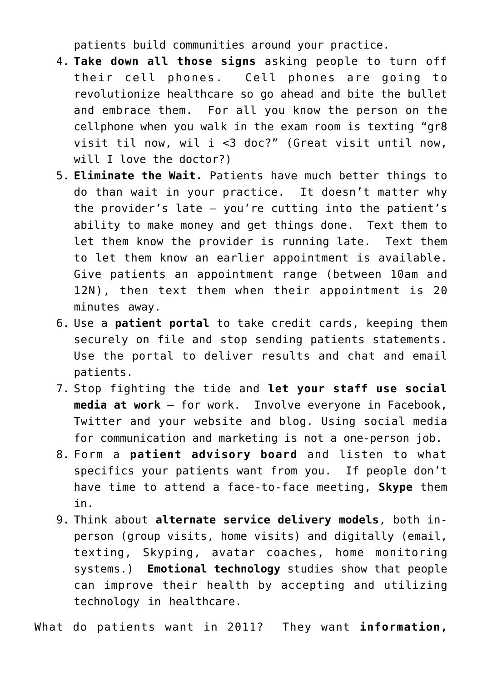patients build communities around your practice.

- 4. **Take down all those signs** asking people to turn off their cell phones. Cell phones are going to revolutionize healthcare so go ahead and bite the bullet and embrace them. For all you know the person on the cellphone when you walk in the exam room is texting "gr8 visit til now, wil i <3 doc?" (Great visit until now, will I love the doctor?)
- 5. **Eliminate the Wait.** Patients have much better things to do than wait in your practice. It doesn't matter why the provider's late – you're cutting into the patient's ability to make money and get things done. Text them to let them know the provider is running late. Text them to let them know an earlier appointment is available. Give patients an appointment range (between 10am and 12N), then text them when their appointment is 20 minutes away.
- 6. Use a **patient portal** to take credit cards, keeping them securely on file and stop sending patients statements. Use the portal to deliver results and chat and email patients.
- 7. Stop fighting the tide and **let your staff use social media at work** – for work. Involve everyone in Facebook, Twitter and your website and blog. Using social media for communication and marketing is not a one-person job.
- 8. Form a **patient advisory board** and listen to what specifics your patients want from you. If people don't have time to attend a face-to-face meeting, **Skype** them in.
- 9. Think about **alternate service delivery models**, both inperson (group visits, home visits) and digitally (email, texting, Skyping, avatar coaches, home monitoring systems.) **[Emotional technology](http://chealthblog.connected-health.org/2010/10/26/emotional-automation-bonding-with-technology-to-improve-health/)** studies show that people can improve their health by accepting and utilizing technology in healthcare.

What do patients want in 2011? They want **information,**